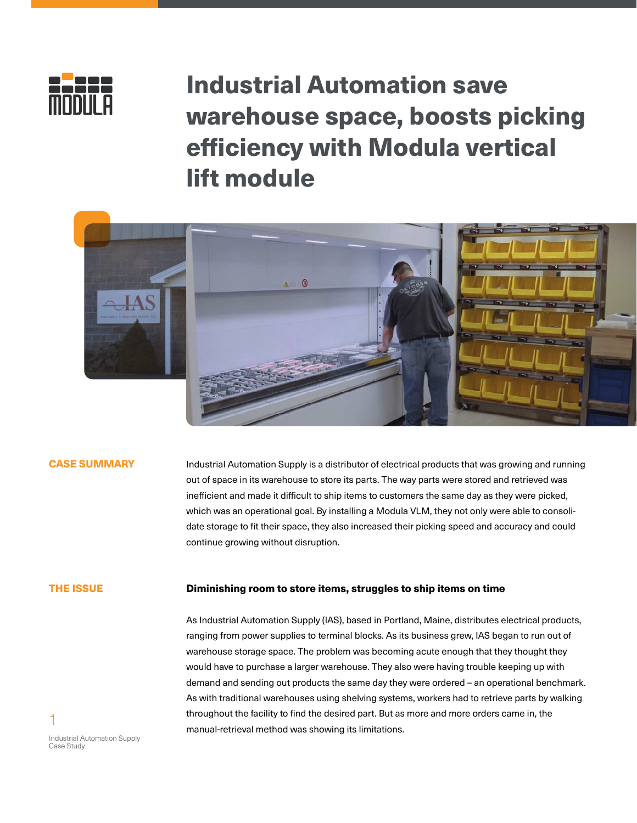

# Industrial Automation save warehouse space, boosts picking efficiency with Modula vertical lift module



### CASE SUMMARY

Industrial Automation Supply is a distributor of electrical products that was growing and running out of space in its warehouse to store its parts. The way parts were stored and retrieved was inefficient and made it difficult to ship items to customers the same day as they were picked, which was an operational goal. By installing a Modula VLM, they not only were able to consolidate storage to fit their space, they also increased their picking speed and accuracy and could continue growing without disruption.

# THE ISSUE

## Diminishing room to store items, struggles to ship items on time

As Industrial Automation Supply (IAS), based in Portland, Maine, distributes electrical products, ranging from power supplies to terminal blocks. As its business grew, IAS began to run out of warehouse storage space. The problem was becoming acute enough that they thought they would have to purchase a larger warehouse. They also were having trouble keeping up with demand and sending out products the same day they were ordered – an operational benchmark. As with traditional warehouses using shelving systems, workers had to retrieve parts by walking throughout the facility to find the desired part. But as more and more orders came in, the manual-retrieval method was showing its limitations.

Industrial Automation Supply Case Study

1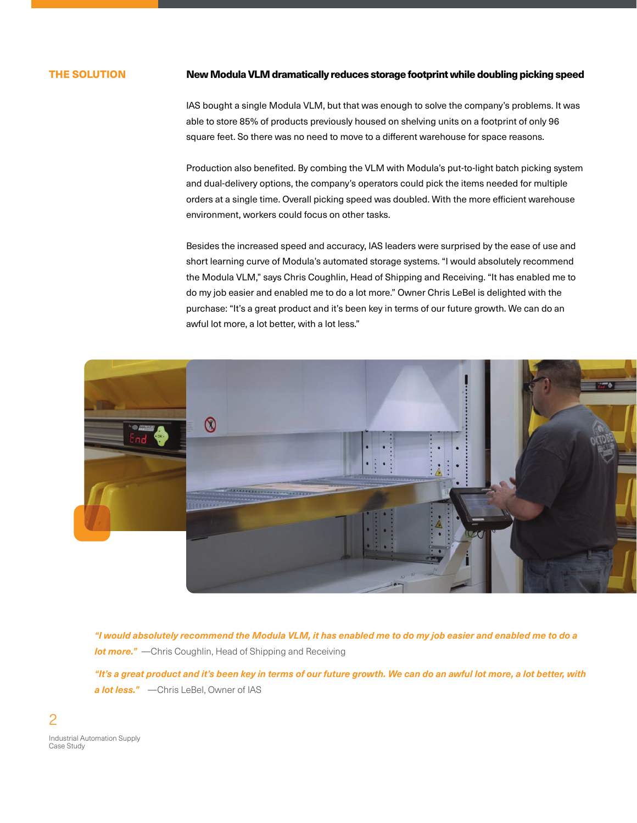### THE SOLUTION

#### New Modula VLM dramatically reduces storage footprint while doubling picking speed

IAS bought a single Modula VLM, but that was enough to solve the company's problems. It was able to store 85% of products previously housed on shelving units on a footprint of only 96 square feet. So there was no need to move to a different warehouse for space reasons.

Production also benefited. By combing the VLM with Modula's put-to-light batch picking system and dual-delivery options, the company's operators could pick the items needed for multiple orders at a single time. Overall picking speed was doubled. With the more efficient warehouse environment, workers could focus on other tasks.

Besides the increased speed and accuracy, IAS leaders were surprised by the ease of use and short learning curve of Modula's automated storage systems. "I would absolutely recommend the Modula VLM," says Chris Coughlin, Head of Shipping and Receiving. "It has enabled me to do my job easier and enabled me to do a lot more." Owner Chris LeBel is delighted with the purchase: "It's a great product and it's been key in terms of our future growth. We can do an awful lot more, a lot better, with a lot less."



*"I would absolutely recommend the Modula VLM, it has enabled me to do my job easier and enabled me to do a lot more."* - Chris Coughlin, Head of Shipping and Receiving

*"It's a great product and it's been key in terms of our future growth. We can do an awful lot more, a lot better, with a lot less."* —Chris LeBel, Owner of IAS